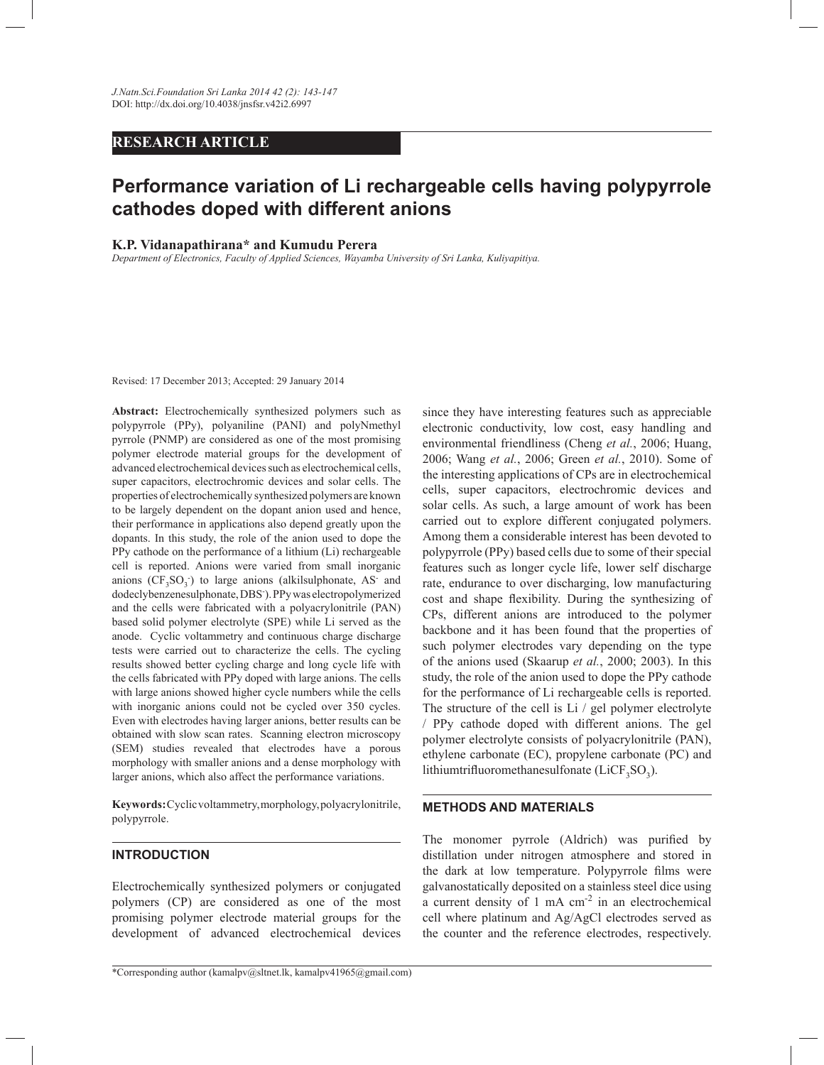# **RESEARCH ARTICLE**

# **Performance variation of Li rechargeable cells having polypyrrole cathodes doped with different anions**

#### **K.P. Vidanapathirana\* and Kumudu Perera**

*Department of Electronics, Faculty of Applied Sciences, Wayamba University of Sri Lanka, Kuliyapitiya.*

Revised: 17 December 2013; Accepted: 29 January 2014

**Abstract:** Electrochemically synthesized polymers such as polypyrrole (PPy), polyaniline (PANI) and polyNmethyl pyrrole (PNMP) are considered as one of the most promising polymer electrode material groups for the development of advanced electrochemical devices such as electrochemical cells, super capacitors, electrochromic devices and solar cells. The properties of electrochemically synthesized polymers are known to be largely dependent on the dopant anion used and hence, their performance in applications also depend greatly upon the dopants. In this study, the role of the anion used to dope the PPy cathode on the performance of a lithium (Li) rechargeable cell is reported. Anions were varied from small inorganic anions  $(CF_3SO_3)$  to large anions (alkilsulphonate, AS and dodeclybenzenesulphonate, DBS- ). PPy was electropolymerized and the cells were fabricated with a polyacrylonitrile (PAN) based solid polymer electrolyte (SPE) while Li served as the anode. Cyclic voltammetry and continuous charge discharge tests were carried out to characterize the cells. The cycling results showed better cycling charge and long cycle life with the cells fabricated with PPy doped with large anions. The cells with large anions showed higher cycle numbers while the cells with inorganic anions could not be cycled over 350 cycles. Even with electrodes having larger anions, better results can be obtained with slow scan rates. Scanning electron microscopy (SEM) studies revealed that electrodes have a porous morphology with smaller anions and a dense morphology with larger anions, which also affect the performance variations.

**Keywords:** Cyclic voltammetry, morphology, polyacrylonitrile, polypyrrole.

# **INTRODUCTION**

Electrochemically synthesized polymers or conjugated polymers (CP) are considered as one of the most promising polymer electrode material groups for the development of advanced electrochemical devices since they have interesting features such as appreciable electronic conductivity, low cost, easy handling and environmental friendliness (Cheng *et al.*, 2006; Huang, 2006; Wang *et al.*, 2006; Green *et al.*, 2010). Some of the interesting applications of CPs are in electrochemical cells, super capacitors, electrochromic devices and solar cells. As such, a large amount of work has been carried out to explore different conjugated polymers. Among them a considerable interest has been devoted to polypyrrole (PPy) based cells due to some of their special features such as longer cycle life, lower self discharge rate, endurance to over discharging, low manufacturing cost and shape flexibility. During the synthesizing of CPs, different anions are introduced to the polymer backbone and it has been found that the properties of such polymer electrodes vary depending on the type of the anions used (Skaarup *et al.*, 2000; 2003). In this study, the role of the anion used to dope the PPy cathode for the performance of Li rechargeable cells is reported. The structure of the cell is Li / gel polymer electrolyte / PPy cathode doped with different anions. The gel polymer electrolyte consists of polyacrylonitrile (PAN), ethylene carbonate (EC), propylene carbonate (PC) and lithiumtrifluoromethanesulfonate  $(LicF_3SO_3)$ .

# **METHODS AND MATERIALS**

The monomer pyrrole (Aldrich) was purified by distillation under nitrogen atmosphere and stored in the dark at low temperature. Polypyrrole films were galvanostatically deposited on a stainless steel dice using a current density of  $1 \text{ mA cm}^{-2}$  in an electrochemical cell where platinum and Ag/AgCl electrodes served as the counter and the reference electrodes, respectively.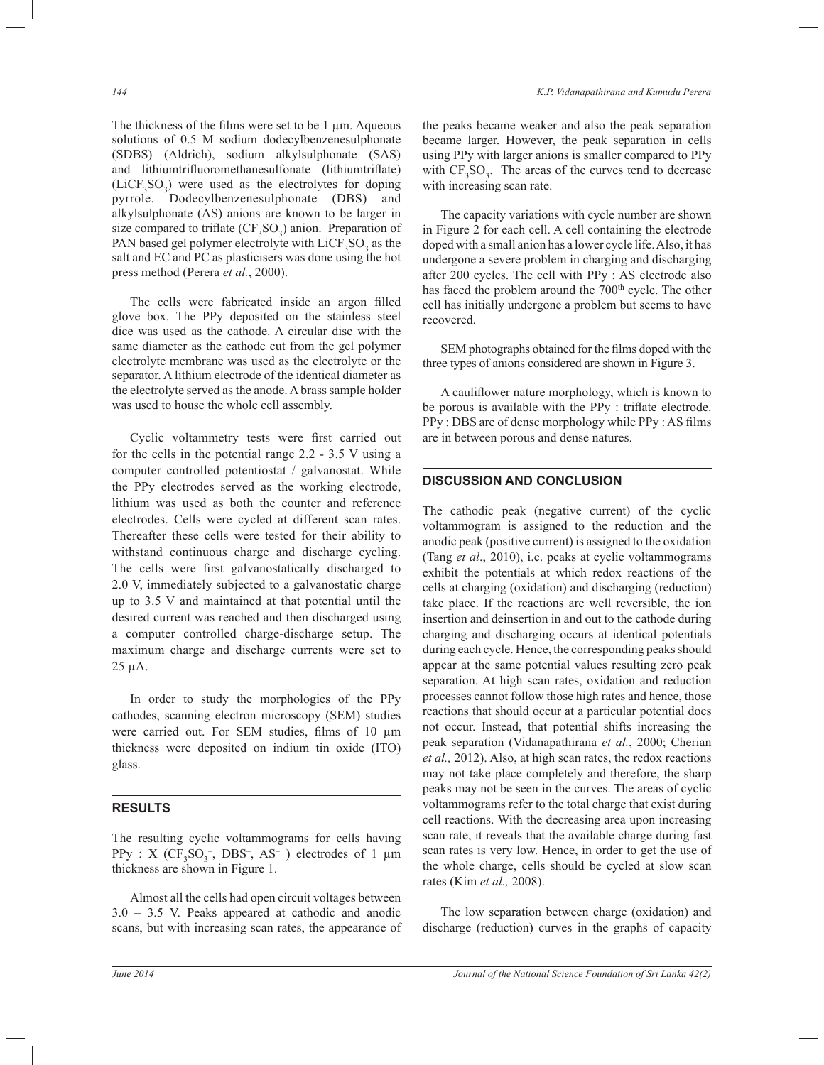The thickness of the films were set to be  $1 \mu$ m. Aqueous solutions of 0.5 M sodium dodecylbenzenesulphonate (SDBS) (Aldrich), sodium alkylsulphonate (SAS) and lithiumtrifluoromethanesulfonate (lithiumtriflate)  $(LiCF<sub>3</sub>SO<sub>3</sub>)$  were used as the electrolytes for doping pyrrole. Dodecylbenzenesulphonate (DBS) and alkylsulphonate (AS) anions are known to be larger in size compared to triflate  $(CF_3SO_3)$  anion. Preparation of PAN based gel polymer electrolyte with  $LiCF<sub>3</sub>SO<sub>3</sub>$  as the salt and EC and PC as plasticisers was done using the hot press method (Perera *et al.*, 2000).

 The cells were fabricated inside an argon filled glove box. The PPy deposited on the stainless steel dice was used as the cathode. A circular disc with the same diameter as the cathode cut from the gel polymer electrolyte membrane was used as the electrolyte or the separator. A lithium electrode of the identical diameter as the electrolyte served as the anode. A brass sample holder was used to house the whole cell assembly.

 Cyclic voltammetry tests were first carried out for the cells in the potential range 2.2 - 3.5 V using a computer controlled potentiostat / galvanostat. While the PPy electrodes served as the working electrode, lithium was used as both the counter and reference electrodes. Cells were cycled at different scan rates. Thereafter these cells were tested for their ability to withstand continuous charge and discharge cycling. The cells were first galvanostatically discharged to 2.0 V, immediately subjected to a galvanostatic charge up to 3.5 V and maintained at that potential until the desired current was reached and then discharged using a computer controlled charge-discharge setup. The maximum charge and discharge currents were set to 25 µA.

 In order to study the morphologies of the PPy cathodes, scanning electron microscopy (SEM) studies were carried out. For SEM studies, films of 10 µm thickness were deposited on indium tin oxide (ITO) glass.

# **RESULTS**

The resulting cyclic voltammograms for cells having  $PPy$  : X ( $CF_3SO_3^-$ , DBS<sup>-</sup>, AS<sup>-</sup>) electrodes of 1  $\mu$ m thickness are shown in Figure 1.

 Almost all the cells had open circuit voltages between 3.0 – 3.5 V. Peaks appeared at cathodic and anodic scans, but with increasing scan rates, the appearance of the peaks became weaker and also the peak separation became larger. However, the peak separation in cells using PPy with larger anions is smaller compared to PPy with  $CF_3SO_3$ . The areas of the curves tend to decrease with increasing scan rate.

 The capacity variations with cycle number are shown in Figure 2 for each cell. A cell containing the electrode doped with a small anion has a lower cycle life. Also, it has undergone a severe problem in charging and discharging after 200 cycles. The cell with PPy : AS electrode also has faced the problem around the 700<sup>th</sup> cycle. The other cell has initially undergone a problem but seems to have recovered.

 SEM photographs obtained for the films doped with the three types of anions considered are shown in Figure 3.

 A cauliflower nature morphology, which is known to be porous is available with the PPy : triflate electrode. PPy : DBS are of dense morphology while PPy : AS films are in between porous and dense natures.

# **DISCUSSION AND CONCLUSION**

The cathodic peak (negative current) of the cyclic voltammogram is assigned to the reduction and the anodic peak (positive current) is assigned to the oxidation (Tang *et al*., 2010), i.e. peaks at cyclic voltammograms exhibit the potentials at which redox reactions of the cells at charging (oxidation) and discharging (reduction) take place. If the reactions are well reversible, the ion insertion and deinsertion in and out to the cathode during charging and discharging occurs at identical potentials during each cycle. Hence, the corresponding peaks should appear at the same potential values resulting zero peak separation. At high scan rates, oxidation and reduction processes cannot follow those high rates and hence, those reactions that should occur at a particular potential does not occur. Instead, that potential shifts increasing the peak separation (Vidanapathirana *et al.*, 2000; Cherian *et al.,* 2012). Also, at high scan rates, the redox reactions may not take place completely and therefore, the sharp peaks may not be seen in the curves. The areas of cyclic voltammograms refer to the total charge that exist during cell reactions. With the decreasing area upon increasing scan rate, it reveals that the available charge during fast scan rates is very low. Hence, in order to get the use of the whole charge, cells should be cycled at slow scan rates (Kim *et al.,* 2008).

 The low separation between charge (oxidation) and discharge (reduction) curves in the graphs of capacity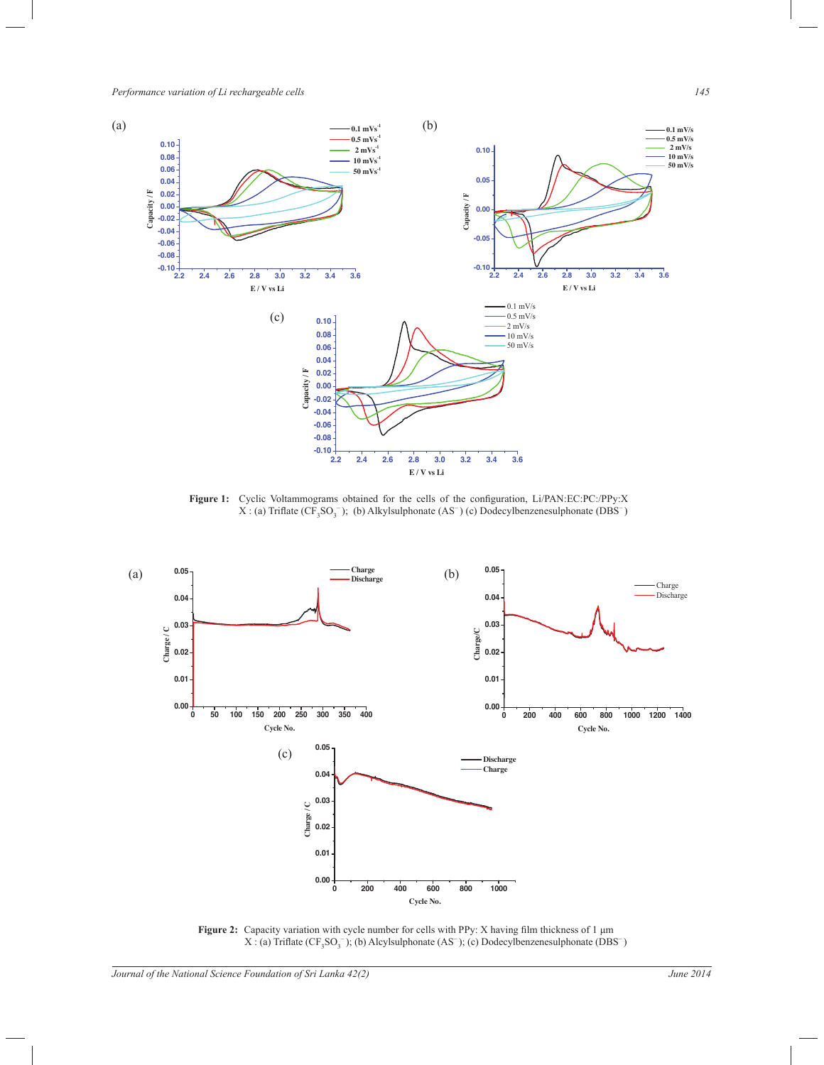

**Figure 1:** Cyclic Voltammograms obtained for the cells of the configuration, Li/PAN:EC:PC:/PPy:X  $X: (a)$  Triflate  $(CF_3SO_3^-)$ ; (b) Alkylsulphonate  $(AS^-)$  (c) Dodecylbenzenesulphonate (DBS<sup>-</sup>)



**Figure 2:** Capacity variation with cycle number for cells with PPy: X having film thickness of 1 μm  $X:(a)$  Triflate  $(CF_3SO_3^-)$ ; (b) Alcylsulphonate (AS<sup>-</sup>); (c) Dodecylbenzenesulphonate (DBS<sup>-</sup>)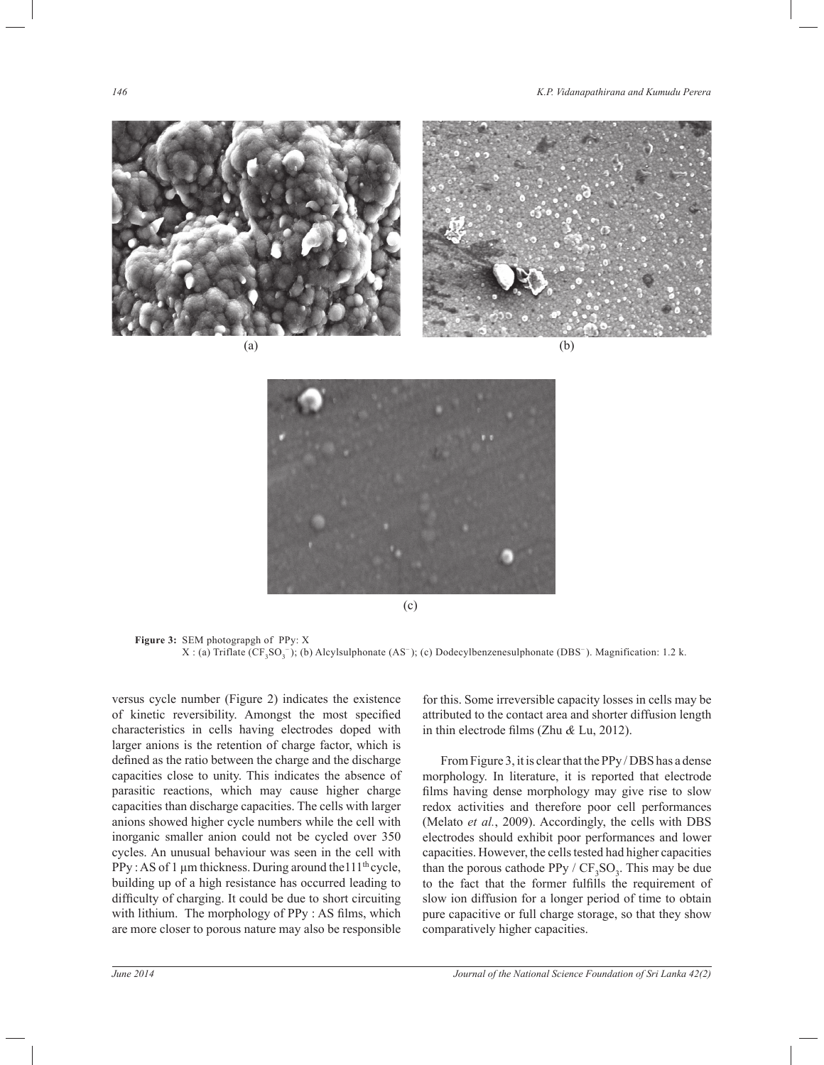



(c)

**Figure 3:** SEM photograpgh of PPy: X  $X: (a)$  Triflate  $(CF_3SO_3^-)$ ; (b) Alcylsulphonate  $(AS^-)$ ; (c) Dodecylbenzenesulphonate (DBS<sup>-</sup>). Magnification: 1.2 k.

versus cycle number (Figure 2) indicates the existence of kinetic reversibility. Amongst the most specified characteristics in cells having electrodes doped with larger anions is the retention of charge factor, which is defined as the ratio between the charge and the discharge capacities close to unity. This indicates the absence of parasitic reactions, which may cause higher charge capacities than discharge capacities. The cells with larger anions showed higher cycle numbers while the cell with inorganic smaller anion could not be cycled over 350 cycles. An unusual behaviour was seen in the cell with PPy : AS of 1  $\mu$ m thickness. During around the 111<sup>th</sup> cycle, building up of a high resistance has occurred leading to difficulty of charging. It could be due to short circuiting with lithium. The morphology of PPy : AS films, which are more closer to porous nature may also be responsible

for this. Some irreversible capacity losses in cells may be attributed to the contact area and shorter diffusion length in thin electrode films (Zhu *&* Lu, 2012).

 From Figure 3, it is clear that the PPy / DBS has a dense morphology. In literature, it is reported that electrode films having dense morphology may give rise to slow redox activities and therefore poor cell performances (Melato *et al.*, 2009). Accordingly, the cells with DBS electrodes should exhibit poor performances and lower capacities. However, the cells tested had higher capacities than the porous cathode  $PPy / CF_3SO_3$ . This may be due to the fact that the former fulfills the requirement of slow ion diffusion for a longer period of time to obtain pure capacitive or full charge storage, so that they show comparatively higher capacities.